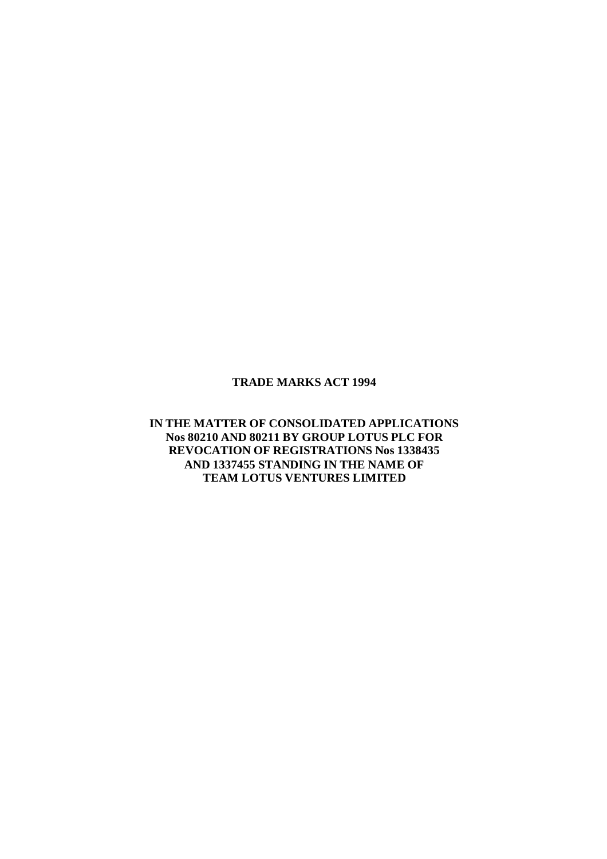#### **TRADE MARKS ACT 1994**

## **IN THE MATTER OF CONSOLIDATED APPLICATIONS Nos 80210 AND 80211 BY GROUP LOTUS PLC FOR REVOCATION OF REGISTRATIONS Nos 1338435 AND 1337455 STANDING IN THE NAME OF TEAM LOTUS VENTURES LIMITED**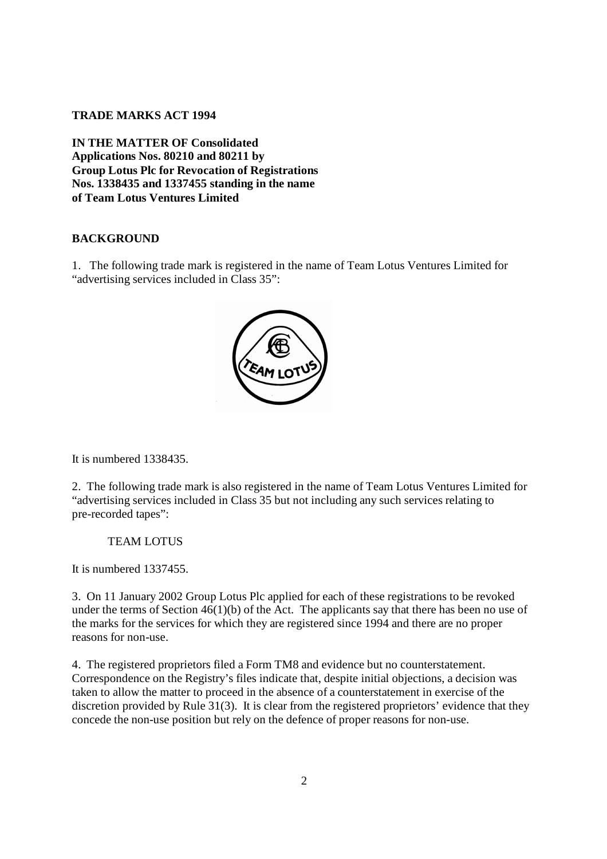### **TRADE MARKS ACT 1994**

**IN THE MATTER OF Consolidated Applications Nos. 80210 and 80211 by Group Lotus Plc for Revocation of Registrations Nos. 1338435 and 1337455 standing in the name of Team Lotus Ventures Limited**

#### **BACKGROUND**

1. The following trade mark is registered in the name of Team Lotus Ventures Limited for "advertising services included in Class 35":



It is numbered 1338435.

2. The following trade mark is also registered in the name of Team Lotus Ventures Limited for "advertising services included in Class 35 but not including any such services relating to pre-recorded tapes":

#### TEAM LOTUS

It is numbered 1337455.

3. On 11 January 2002 Group Lotus Plc applied for each of these registrations to be revoked under the terms of Section 46(1)(b) of the Act. The applicants say that there has been no use of the marks for the services for which they are registered since 1994 and there are no proper reasons for non-use.

4. The registered proprietors filed a Form TM8 and evidence but no counterstatement. Correspondence on the Registry's files indicate that, despite initial objections, a decision was taken to allow the matter to proceed in the absence of a counterstatement in exercise of the discretion provided by Rule 31(3). It is clear from the registered proprietors' evidence that they concede the non-use position but rely on the defence of proper reasons for non-use.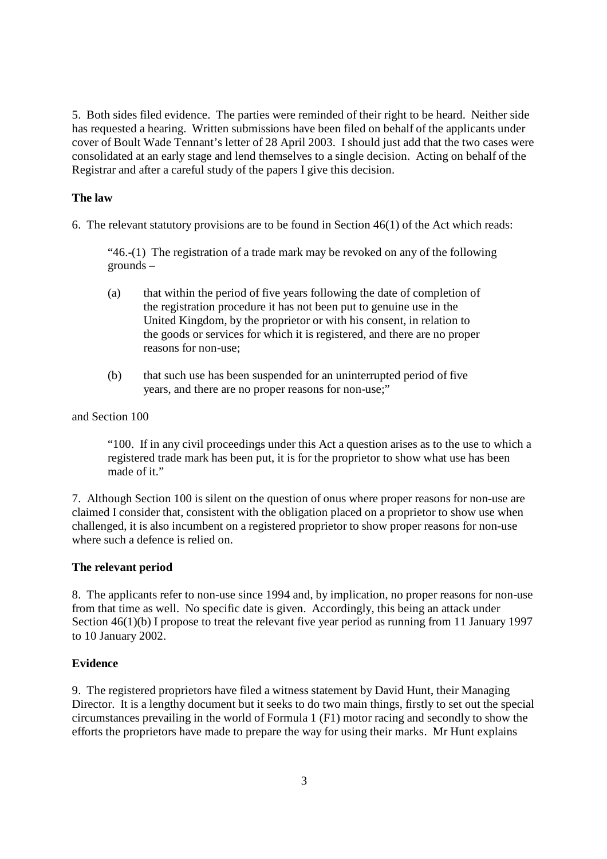5. Both sides filed evidence. The parties were reminded of their right to be heard. Neither side has requested a hearing. Written submissions have been filed on behalf of the applicants under cover of Boult Wade Tennant's letter of 28 April 2003. I should just add that the two cases were consolidated at an early stage and lend themselves to a single decision. Acting on behalf of the Registrar and after a careful study of the papers I give this decision.

## **The law**

6. The relevant statutory provisions are to be found in Section 46(1) of the Act which reads:

"46.-(1) The registration of a trade mark may be revoked on any of the following grounds –

- (a) that within the period of five years following the date of completion of the registration procedure it has not been put to genuine use in the United Kingdom, by the proprietor or with his consent, in relation to the goods or services for which it is registered, and there are no proper reasons for non-use;
- (b) that such use has been suspended for an uninterrupted period of five years, and there are no proper reasons for non-use;"

and Section 100

"100. If in any civil proceedings under this Act a question arises as to the use to which a registered trade mark has been put, it is for the proprietor to show what use has been made of it."

7. Although Section 100 is silent on the question of onus where proper reasons for non-use are claimed I consider that, consistent with the obligation placed on a proprietor to show use when challenged, it is also incumbent on a registered proprietor to show proper reasons for non-use where such a defence is relied on.

## **The relevant period**

8. The applicants refer to non-use since 1994 and, by implication, no proper reasons for non-use from that time as well. No specific date is given. Accordingly, this being an attack under Section 46(1)(b) I propose to treat the relevant five year period as running from 11 January 1997 to 10 January 2002.

## **Evidence**

9. The registered proprietors have filed a witness statement by David Hunt, their Managing Director. It is a lengthy document but it seeks to do two main things, firstly to set out the special circumstances prevailing in the world of Formula 1 (F1) motor racing and secondly to show the efforts the proprietors have made to prepare the way for using their marks. Mr Hunt explains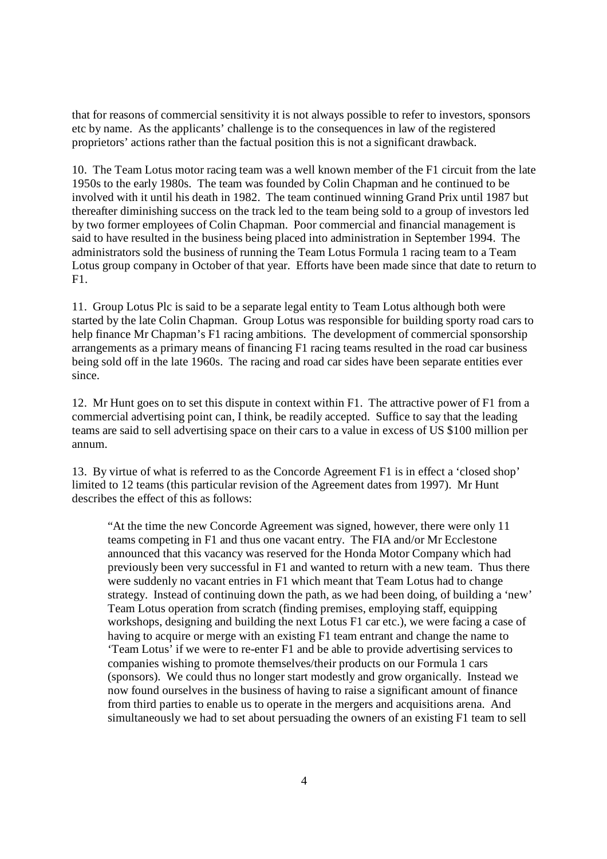that for reasons of commercial sensitivity it is not always possible to refer to investors, sponsors etc by name. As the applicants' challenge is to the consequences in law of the registered proprietors' actions rather than the factual position this is not a significant drawback.

10. The Team Lotus motor racing team was a well known member of the F1 circuit from the late 1950s to the early 1980s. The team was founded by Colin Chapman and he continued to be involved with it until his death in 1982. The team continued winning Grand Prix until 1987 but thereafter diminishing success on the track led to the team being sold to a group of investors led by two former employees of Colin Chapman. Poor commercial and financial management is said to have resulted in the business being placed into administration in September 1994. The administrators sold the business of running the Team Lotus Formula 1 racing team to a Team Lotus group company in October of that year. Efforts have been made since that date to return to F1.

11. Group Lotus Plc is said to be a separate legal entity to Team Lotus although both were started by the late Colin Chapman. Group Lotus was responsible for building sporty road cars to help finance Mr Chapman's F1 racing ambitions. The development of commercial sponsorship arrangements as a primary means of financing F1 racing teams resulted in the road car business being sold off in the late 1960s. The racing and road car sides have been separate entities ever since.

12. Mr Hunt goes on to set this dispute in context within F1. The attractive power of F1 from a commercial advertising point can, I think, be readily accepted. Suffice to say that the leading teams are said to sell advertising space on their cars to a value in excess of US \$100 million per annum.

13. By virtue of what is referred to as the Concorde Agreement F1 is in effect a 'closed shop' limited to 12 teams (this particular revision of the Agreement dates from 1997). Mr Hunt describes the effect of this as follows:

"At the time the new Concorde Agreement was signed, however, there were only 11 teams competing in F1 and thus one vacant entry. The FIA and/or Mr Ecclestone announced that this vacancy was reserved for the Honda Motor Company which had previously been very successful in F1 and wanted to return with a new team. Thus there were suddenly no vacant entries in F1 which meant that Team Lotus had to change strategy. Instead of continuing down the path, as we had been doing, of building a 'new' Team Lotus operation from scratch (finding premises, employing staff, equipping workshops, designing and building the next Lotus F1 car etc.), we were facing a case of having to acquire or merge with an existing F1 team entrant and change the name to 'Team Lotus' if we were to re-enter F1 and be able to provide advertising services to companies wishing to promote themselves/their products on our Formula 1 cars (sponsors). We could thus no longer start modestly and grow organically. Instead we now found ourselves in the business of having to raise a significant amount of finance from third parties to enable us to operate in the mergers and acquisitions arena. And simultaneously we had to set about persuading the owners of an existing F1 team to sell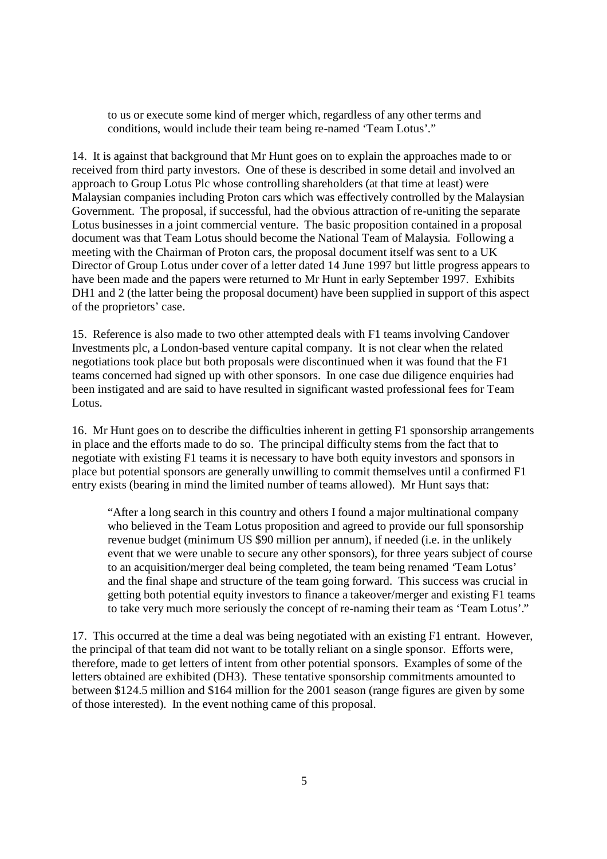to us or execute some kind of merger which, regardless of any other terms and conditions, would include their team being re-named 'Team Lotus'."

14. It is against that background that Mr Hunt goes on to explain the approaches made to or received from third party investors. One of these is described in some detail and involved an approach to Group Lotus Plc whose controlling shareholders (at that time at least) were Malaysian companies including Proton cars which was effectively controlled by the Malaysian Government. The proposal, if successful, had the obvious attraction of re-uniting the separate Lotus businesses in a joint commercial venture. The basic proposition contained in a proposal document was that Team Lotus should become the National Team of Malaysia. Following a meeting with the Chairman of Proton cars, the proposal document itself was sent to a UK Director of Group Lotus under cover of a letter dated 14 June 1997 but little progress appears to have been made and the papers were returned to Mr Hunt in early September 1997. Exhibits DH1 and 2 (the latter being the proposal document) have been supplied in support of this aspect of the proprietors' case.

15. Reference is also made to two other attempted deals with F1 teams involving Candover Investments plc, a London-based venture capital company. It is not clear when the related negotiations took place but both proposals were discontinued when it was found that the F1 teams concerned had signed up with other sponsors. In one case due diligence enquiries had been instigated and are said to have resulted in significant wasted professional fees for Team Lotus.

16. Mr Hunt goes on to describe the difficulties inherent in getting F1 sponsorship arrangements in place and the efforts made to do so. The principal difficulty stems from the fact that to negotiate with existing F1 teams it is necessary to have both equity investors and sponsors in place but potential sponsors are generally unwilling to commit themselves until a confirmed F1 entry exists (bearing in mind the limited number of teams allowed). Mr Hunt says that:

"After a long search in this country and others I found a major multinational company who believed in the Team Lotus proposition and agreed to provide our full sponsorship revenue budget (minimum US \$90 million per annum), if needed (i.e. in the unlikely event that we were unable to secure any other sponsors), for three years subject of course to an acquisition/merger deal being completed, the team being renamed 'Team Lotus' and the final shape and structure of the team going forward. This success was crucial in getting both potential equity investors to finance a takeover/merger and existing F1 teams to take very much more seriously the concept of re-naming their team as 'Team Lotus'."

17. This occurred at the time a deal was being negotiated with an existing F1 entrant. However, the principal of that team did not want to be totally reliant on a single sponsor. Efforts were, therefore, made to get letters of intent from other potential sponsors. Examples of some of the letters obtained are exhibited (DH3). These tentative sponsorship commitments amounted to between \$124.5 million and \$164 million for the 2001 season (range figures are given by some of those interested). In the event nothing came of this proposal.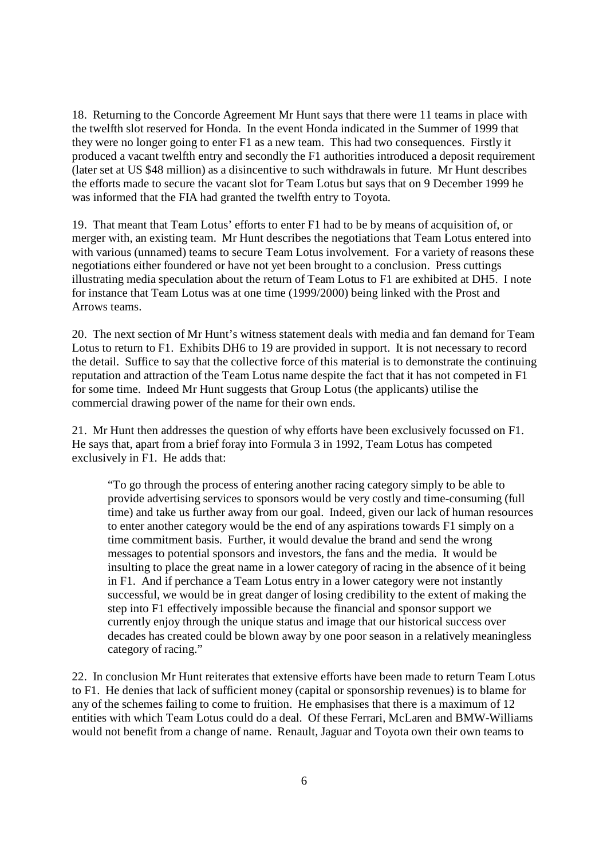18. Returning to the Concorde Agreement Mr Hunt says that there were 11 teams in place with the twelfth slot reserved for Honda. In the event Honda indicated in the Summer of 1999 that they were no longer going to enter F1 as a new team. This had two consequences. Firstly it produced a vacant twelfth entry and secondly the F1 authorities introduced a deposit requirement (later set at US \$48 million) as a disincentive to such withdrawals in future. Mr Hunt describes the efforts made to secure the vacant slot for Team Lotus but says that on 9 December 1999 he was informed that the FIA had granted the twelfth entry to Toyota.

19. That meant that Team Lotus' efforts to enter F1 had to be by means of acquisition of, or merger with, an existing team. Mr Hunt describes the negotiations that Team Lotus entered into with various (unnamed) teams to secure Team Lotus involvement. For a variety of reasons these negotiations either foundered or have not yet been brought to a conclusion. Press cuttings illustrating media speculation about the return of Team Lotus to F1 are exhibited at DH5. I note for instance that Team Lotus was at one time (1999/2000) being linked with the Prost and Arrows teams.

20. The next section of Mr Hunt's witness statement deals with media and fan demand for Team Lotus to return to F1. Exhibits DH6 to 19 are provided in support. It is not necessary to record the detail. Suffice to say that the collective force of this material is to demonstrate the continuing reputation and attraction of the Team Lotus name despite the fact that it has not competed in F1 for some time. Indeed Mr Hunt suggests that Group Lotus (the applicants) utilise the commercial drawing power of the name for their own ends.

21. Mr Hunt then addresses the question of why efforts have been exclusively focussed on F1. He says that, apart from a brief foray into Formula 3 in 1992, Team Lotus has competed exclusively in F1. He adds that:

"To go through the process of entering another racing category simply to be able to provide advertising services to sponsors would be very costly and time-consuming (full time) and take us further away from our goal. Indeed, given our lack of human resources to enter another category would be the end of any aspirations towards F1 simply on a time commitment basis. Further, it would devalue the brand and send the wrong messages to potential sponsors and investors, the fans and the media. It would be insulting to place the great name in a lower category of racing in the absence of it being in F1. And if perchance a Team Lotus entry in a lower category were not instantly successful, we would be in great danger of losing credibility to the extent of making the step into F1 effectively impossible because the financial and sponsor support we currently enjoy through the unique status and image that our historical success over decades has created could be blown away by one poor season in a relatively meaningless category of racing."

22. In conclusion Mr Hunt reiterates that extensive efforts have been made to return Team Lotus to F1. He denies that lack of sufficient money (capital or sponsorship revenues) is to blame for any of the schemes failing to come to fruition. He emphasises that there is a maximum of 12 entities with which Team Lotus could do a deal. Of these Ferrari, McLaren and BMW-Williams would not benefit from a change of name. Renault, Jaguar and Toyota own their own teams to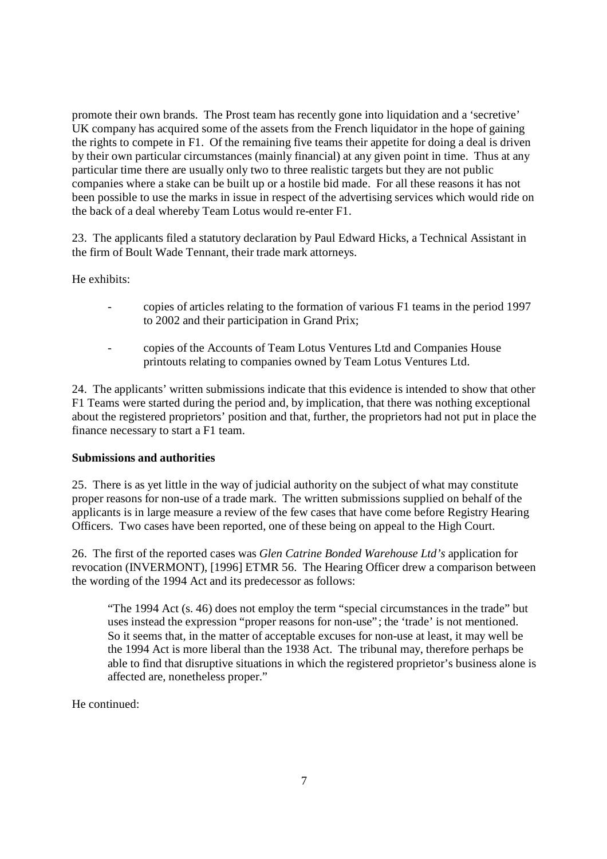promote their own brands. The Prost team has recently gone into liquidation and a 'secretive' UK company has acquired some of the assets from the French liquidator in the hope of gaining the rights to compete in F1. Of the remaining five teams their appetite for doing a deal is driven by their own particular circumstances (mainly financial) at any given point in time. Thus at any particular time there are usually only two to three realistic targets but they are not public companies where a stake can be built up or a hostile bid made. For all these reasons it has not been possible to use the marks in issue in respect of the advertising services which would ride on the back of a deal whereby Team Lotus would re-enter F1.

23. The applicants filed a statutory declaration by Paul Edward Hicks, a Technical Assistant in the firm of Boult Wade Tennant, their trade mark attorneys.

He exhibits:

- copies of articles relating to the formation of various F1 teams in the period 1997 to 2002 and their participation in Grand Prix;
- copies of the Accounts of Team Lotus Ventures Ltd and Companies House printouts relating to companies owned by Team Lotus Ventures Ltd.

24. The applicants' written submissions indicate that this evidence is intended to show that other F1 Teams were started during the period and, by implication, that there was nothing exceptional about the registered proprietors' position and that, further, the proprietors had not put in place the finance necessary to start a F1 team.

#### **Submissions and authorities**

25. There is as yet little in the way of judicial authority on the subject of what may constitute proper reasons for non-use of a trade mark. The written submissions supplied on behalf of the applicants is in large measure a review of the few cases that have come before Registry Hearing Officers. Two cases have been reported, one of these being on appeal to the High Court.

26. The first of the reported cases was *Glen Catrine Bonded Warehouse Ltd's* application for revocation (INVERMONT), [1996] ETMR 56. The Hearing Officer drew a comparison between the wording of the 1994 Act and its predecessor as follows:

"The 1994 Act (s. 46) does not employ the term "special circumstances in the trade" but uses instead the expression "proper reasons for non-use"; the 'trade' is not mentioned. So it seems that, in the matter of acceptable excuses for non-use at least, it may well be the 1994 Act is more liberal than the 1938 Act. The tribunal may, therefore perhaps be able to find that disruptive situations in which the registered proprietor's business alone is affected are, nonetheless proper."

He continued: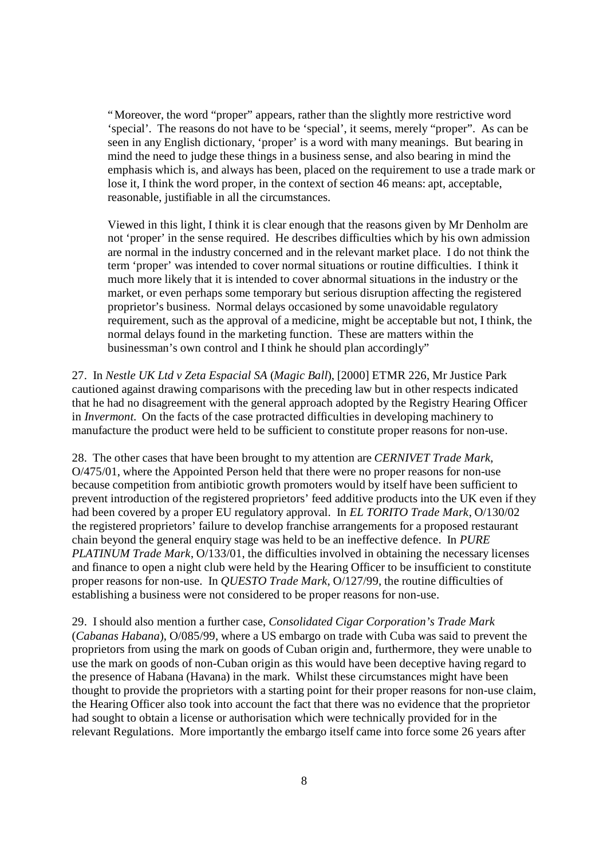"Moreover, the word "proper" appears, rather than the slightly more restrictive word 'special'. The reasons do not have to be 'special', it seems, merely "proper". As can be seen in any English dictionary, 'proper' is a word with many meanings. But bearing in mind the need to judge these things in a business sense, and also bearing in mind the emphasis which is, and always has been, placed on the requirement to use a trade mark or lose it, I think the word proper, in the context of section 46 means: apt, acceptable, reasonable, justifiable in all the circumstances.

Viewed in this light, I think it is clear enough that the reasons given by Mr Denholm are not 'proper' in the sense required. He describes difficulties which by his own admission are normal in the industry concerned and in the relevant market place. I do not think the term 'proper' was intended to cover normal situations or routine difficulties. I think it much more likely that it is intended to cover abnormal situations in the industry or the market, or even perhaps some temporary but serious disruption affecting the registered proprietor's business. Normal delays occasioned by some unavoidable regulatory requirement, such as the approval of a medicine, might be acceptable but not, I think, the normal delays found in the marketing function. These are matters within the businessman's own control and I think he should plan accordingly"

27. In *Nestle UK Ltd v Zeta Espacial SA* (*Magic Ball*), [2000] ETMR 226, Mr Justice Park cautioned against drawing comparisons with the preceding law but in other respects indicated that he had no disagreement with the general approach adopted by the Registry Hearing Officer in *Invermont*. On the facts of the case protracted difficulties in developing machinery to manufacture the product were held to be sufficient to constitute proper reasons for non-use.

28. The other cases that have been brought to my attention are *CERNIVET Trade Mark*, O/475/01, where the Appointed Person held that there were no proper reasons for non-use because competition from antibiotic growth promoters would by itself have been sufficient to prevent introduction of the registered proprietors' feed additive products into the UK even if they had been covered by a proper EU regulatory approval. In *EL TORITO Trade Mark*, O/130/02 the registered proprietors' failure to develop franchise arrangements for a proposed restaurant chain beyond the general enquiry stage was held to be an ineffective defence. In *PURE PLATINUM Trade Mark*, O/133/01, the difficulties involved in obtaining the necessary licenses and finance to open a night club were held by the Hearing Officer to be insufficient to constitute proper reasons for non-use. In *QUESTO Trade Mark*, O/127/99, the routine difficulties of establishing a business were not considered to be proper reasons for non-use.

29. I should also mention a further case, *Consolidated Cigar Corporation's Trade Mark* (*Cabanas Habana*), O/085/99, where a US embargo on trade with Cuba was said to prevent the proprietors from using the mark on goods of Cuban origin and, furthermore, they were unable to use the mark on goods of non-Cuban origin as this would have been deceptive having regard to the presence of Habana (Havana) in the mark. Whilst these circumstances might have been thought to provide the proprietors with a starting point for their proper reasons for non-use claim, the Hearing Officer also took into account the fact that there was no evidence that the proprietor had sought to obtain a license or authorisation which were technically provided for in the relevant Regulations. More importantly the embargo itself came into force some 26 years after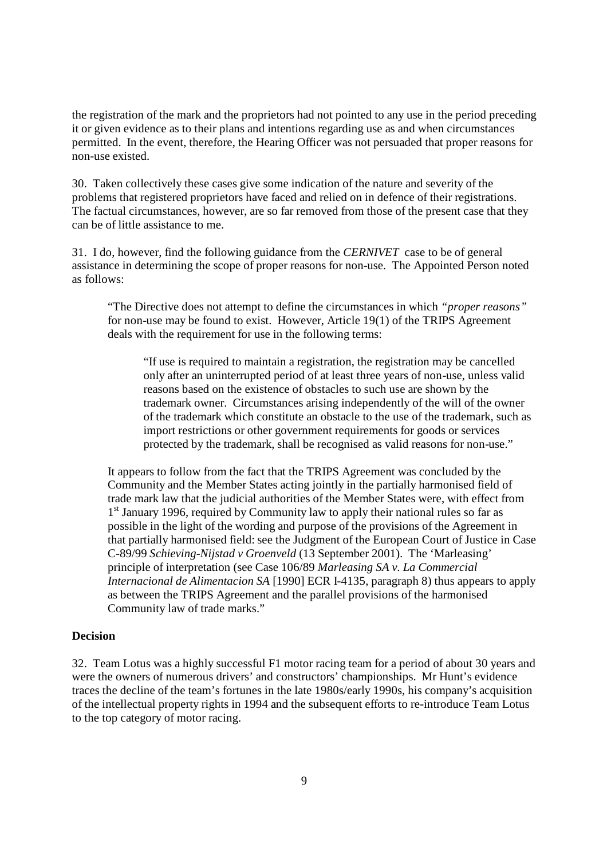the registration of the mark and the proprietors had not pointed to any use in the period preceding it or given evidence as to their plans and intentions regarding use as and when circumstances permitted. In the event, therefore, the Hearing Officer was not persuaded that proper reasons for non-use existed.

30. Taken collectively these cases give some indication of the nature and severity of the problems that registered proprietors have faced and relied on in defence of their registrations. The factual circumstances, however, are so far removed from those of the present case that they can be of little assistance to me.

31. I do, however, find the following guidance from the *CERNIVET* case to be of general assistance in determining the scope of proper reasons for non-use. The Appointed Person noted as follows:

"The Directive does not attempt to define the circumstances in which *"proper reasons"* for non-use may be found to exist. However, Article 19(1) of the TRIPS Agreement deals with the requirement for use in the following terms:

"If use is required to maintain a registration, the registration may be cancelled only after an uninterrupted period of at least three years of non-use, unless valid reasons based on the existence of obstacles to such use are shown by the trademark owner. Circumstances arising independently of the will of the owner of the trademark which constitute an obstacle to the use of the trademark, such as import restrictions or other government requirements for goods or services protected by the trademark, shall be recognised as valid reasons for non-use."

It appears to follow from the fact that the TRIPS Agreement was concluded by the Community and the Member States acting jointly in the partially harmonised field of trade mark law that the judicial authorities of the Member States were, with effect from 1<sup>st</sup> January 1996, required by Community law to apply their national rules so far as possible in the light of the wording and purpose of the provisions of the Agreement in that partially harmonised field: see the Judgment of the European Court of Justice in Case C-89/99 *Schieving-Nijstad v Groenveld* (13 September 2001). The 'Marleasing' principle of interpretation (see Case 106/89 *Marleasing SA v. La Commercial Internacional de Alimentacion SA* [1990] ECR I-4135, paragraph 8) thus appears to apply as between the TRIPS Agreement and the parallel provisions of the harmonised Community law of trade marks."

#### **Decision**

32. Team Lotus was a highly successful F1 motor racing team for a period of about 30 years and were the owners of numerous drivers' and constructors' championships. Mr Hunt's evidence traces the decline of the team's fortunes in the late 1980s/early 1990s, his company's acquisition of the intellectual property rights in 1994 and the subsequent efforts to re-introduce Team Lotus to the top category of motor racing.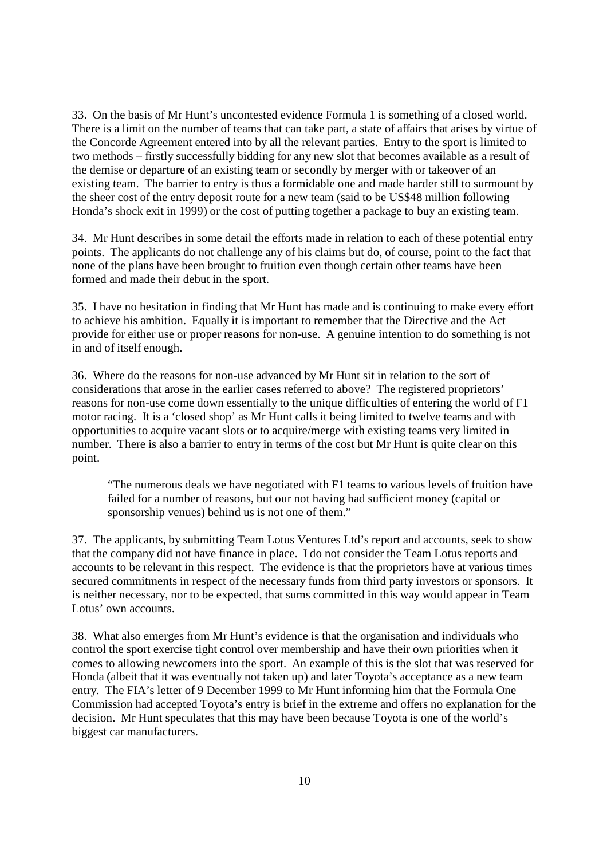33. On the basis of Mr Hunt's uncontested evidence Formula 1 is something of a closed world. There is a limit on the number of teams that can take part, a state of affairs that arises by virtue of the Concorde Agreement entered into by all the relevant parties. Entry to the sport is limited to two methods – firstly successfully bidding for any new slot that becomes available as a result of the demise or departure of an existing team or secondly by merger with or takeover of an existing team. The barrier to entry is thus a formidable one and made harder still to surmount by the sheer cost of the entry deposit route for a new team (said to be US\$48 million following Honda's shock exit in 1999) or the cost of putting together a package to buy an existing team.

34. Mr Hunt describes in some detail the efforts made in relation to each of these potential entry points. The applicants do not challenge any of his claims but do, of course, point to the fact that none of the plans have been brought to fruition even though certain other teams have been formed and made their debut in the sport.

35. I have no hesitation in finding that Mr Hunt has made and is continuing to make every effort to achieve his ambition. Equally it is important to remember that the Directive and the Act provide for either use or proper reasons for non-use. A genuine intention to do something is not in and of itself enough.

36. Where do the reasons for non-use advanced by Mr Hunt sit in relation to the sort of considerations that arose in the earlier cases referred to above? The registered proprietors' reasons for non-use come down essentially to the unique difficulties of entering the world of F1 motor racing. It is a 'closed shop' as Mr Hunt calls it being limited to twelve teams and with opportunities to acquire vacant slots or to acquire/merge with existing teams very limited in number. There is also a barrier to entry in terms of the cost but Mr Hunt is quite clear on this point.

"The numerous deals we have negotiated with F1 teams to various levels of fruition have failed for a number of reasons, but our not having had sufficient money (capital or sponsorship venues) behind us is not one of them."

37. The applicants, by submitting Team Lotus Ventures Ltd's report and accounts, seek to show that the company did not have finance in place. I do not consider the Team Lotus reports and accounts to be relevant in this respect. The evidence is that the proprietors have at various times secured commitments in respect of the necessary funds from third party investors or sponsors. It is neither necessary, nor to be expected, that sums committed in this way would appear in Team Lotus' own accounts.

38. What also emerges from Mr Hunt's evidence is that the organisation and individuals who control the sport exercise tight control over membership and have their own priorities when it comes to allowing newcomers into the sport. An example of this is the slot that was reserved for Honda (albeit that it was eventually not taken up) and later Toyota's acceptance as a new team entry. The FIA's letter of 9 December 1999 to Mr Hunt informing him that the Formula One Commission had accepted Toyota's entry is brief in the extreme and offers no explanation for the decision. Mr Hunt speculates that this may have been because Toyota is one of the world's biggest car manufacturers.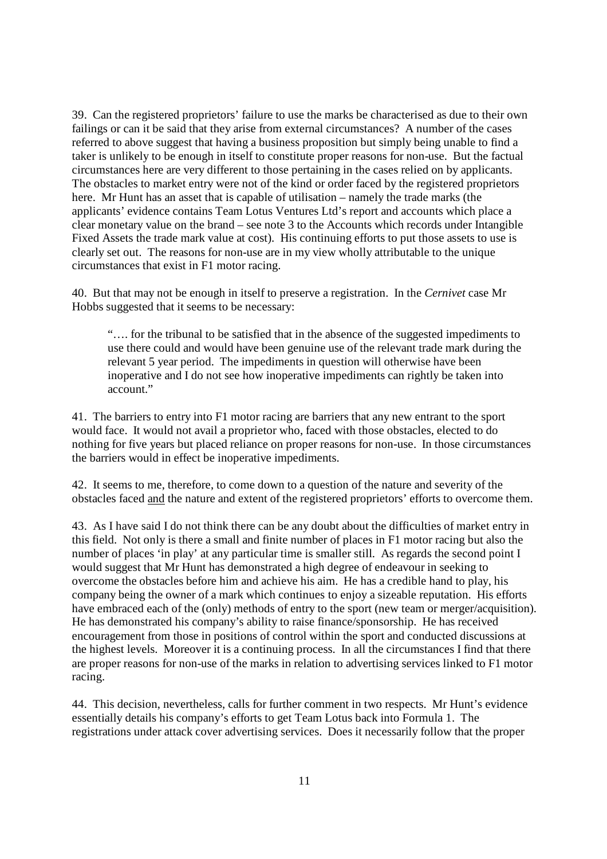39. Can the registered proprietors' failure to use the marks be characterised as due to their own failings or can it be said that they arise from external circumstances? A number of the cases referred to above suggest that having a business proposition but simply being unable to find a taker is unlikely to be enough in itself to constitute proper reasons for non-use. But the factual circumstances here are very different to those pertaining in the cases relied on by applicants. The obstacles to market entry were not of the kind or order faced by the registered proprietors here. Mr Hunt has an asset that is capable of utilisation – namely the trade marks (the applicants' evidence contains Team Lotus Ventures Ltd's report and accounts which place a clear monetary value on the brand – see note 3 to the Accounts which records under Intangible Fixed Assets the trade mark value at cost). His continuing efforts to put those assets to use is clearly set out. The reasons for non-use are in my view wholly attributable to the unique circumstances that exist in F1 motor racing.

40. But that may not be enough in itself to preserve a registration. In the *Cernivet* case Mr Hobbs suggested that it seems to be necessary:

"… . for the tribunal to be satisfied that in the absence of the suggested impediments to use there could and would have been genuine use of the relevant trade mark during the relevant 5 year period. The impediments in question will otherwise have been inoperative and I do not see how inoperative impediments can rightly be taken into account."

41. The barriers to entry into F1 motor racing are barriers that any new entrant to the sport would face. It would not avail a proprietor who, faced with those obstacles, elected to do nothing for five years but placed reliance on proper reasons for non-use. In those circumstances the barriers would in effect be inoperative impediments.

42. It seems to me, therefore, to come down to a question of the nature and severity of the obstacles faced and the nature and extent of the registered proprietors' efforts to overcome them.

43. As I have said I do not think there can be any doubt about the difficulties of market entry in this field. Not only is there a small and finite number of places in F1 motor racing but also the number of places 'in play' at any particular time is smaller still. As regards the second point I would suggest that Mr Hunt has demonstrated a high degree of endeavour in seeking to overcome the obstacles before him and achieve his aim. He has a credible hand to play, his company being the owner of a mark which continues to enjoy a sizeable reputation. His efforts have embraced each of the (only) methods of entry to the sport (new team or merger/acquisition). He has demonstrated his company's ability to raise finance/sponsorship. He has received encouragement from those in positions of control within the sport and conducted discussions at the highest levels. Moreover it is a continuing process. In all the circumstances I find that there are proper reasons for non-use of the marks in relation to advertising services linked to F1 motor racing.

44. This decision, nevertheless, calls for further comment in two respects. Mr Hunt's evidence essentially details his company's efforts to get Team Lotus back into Formula 1. The registrations under attack cover advertising services. Does it necessarily follow that the proper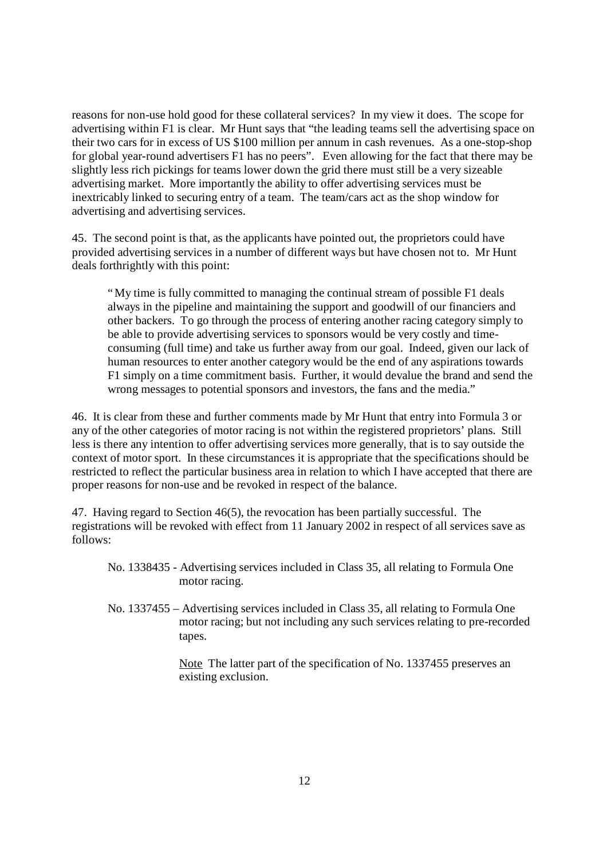reasons for non-use hold good for these collateral services? In my view it does. The scope for advertising within F1 is clear. Mr Hunt says that "the leading teams sell the advertising space on their two cars for in excess of US \$100 million per annum in cash revenues. As a one-stop-shop for global year-round advertisers F1 has no peers". Even allowing for the fact that there may be slightly less rich pickings for teams lower down the grid there must still be a very sizeable advertising market. More importantly the ability to offer advertising services must be inextricably linked to securing entry of a team. The team/cars act as the shop window for advertising and advertising services.

45. The second point is that, as the applicants have pointed out, the proprietors could have provided advertising services in a number of different ways but have chosen not to. Mr Hunt deals forthrightly with this point:

"My time is fully committed to managing the continual stream of possible F1 deals always in the pipeline and maintaining the support and goodwill of our financiers and other backers. To go through the process of entering another racing category simply to be able to provide advertising services to sponsors would be very costly and timeconsuming (full time) and take us further away from our goal. Indeed, given our lack of human resources to enter another category would be the end of any aspirations towards F1 simply on a time commitment basis. Further, it would devalue the brand and send the wrong messages to potential sponsors and investors, the fans and the media."

46. It is clear from these and further comments made by Mr Hunt that entry into Formula 3 or any of the other categories of motor racing is not within the registered proprietors' plans. Still less is there any intention to offer advertising services more generally, that is to say outside the context of motor sport. In these circumstances it is appropriate that the specifications should be restricted to reflect the particular business area in relation to which I have accepted that there are proper reasons for non-use and be revoked in respect of the balance.

47. Having regard to Section 46(5), the revocation has been partially successful. The registrations will be revoked with effect from 11 January 2002 in respect of all services save as follows:

- No. 1338435 Advertising services included in Class 35, all relating to Formula One motor racing.
- No. 1337455 Advertising services included in Class 35, all relating to Formula One motor racing; but not including any such services relating to pre-recorded tapes.

Note The latter part of the specification of No. 1337455 preserves an existing exclusion.